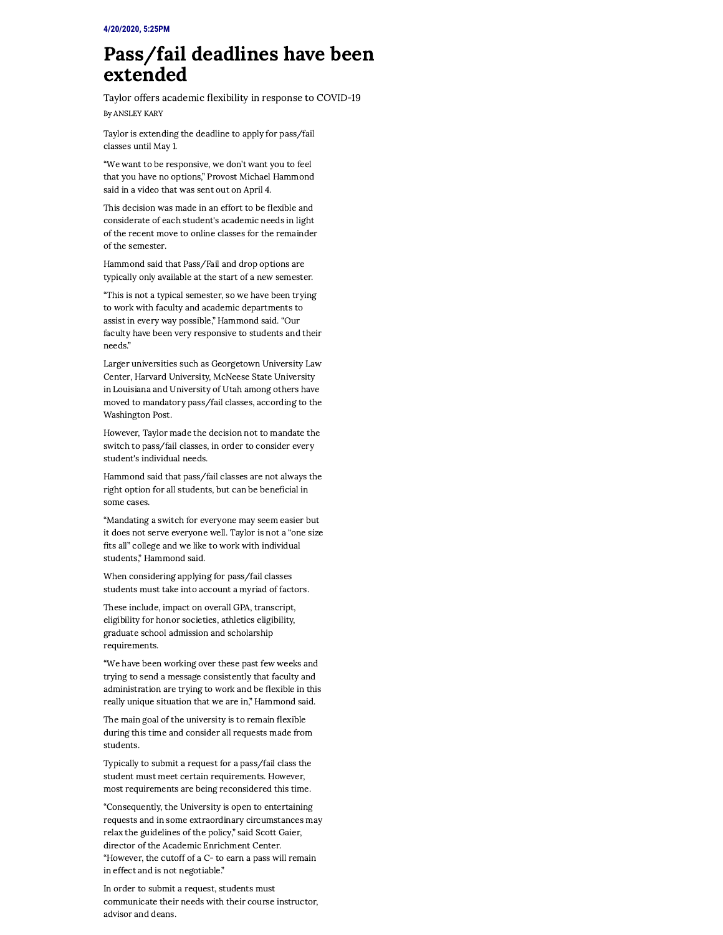## Pass/fail deadlines have been extended

Taylor offers academic flexibility in response to COVID-19 By [ANSLEY](https://www.theechonews.com/staff/ansley-kary) KARY

Taylor is extending the deadline to apply for pass/fail classes until May 1.

"We want to be responsive, we don't want you to feel that you have no options," Provost Michael Hammond said in a video that was sent out on [April](https://vimeo.com/403405990) 4.

This decision was made in an effort to be flexible and considerate of each student's academic needs in light of the recent move to online classes for the remainder of the semester.

Hammond said that Pass/Fail and drop options are typically only available at the start of a new semester.

"This is not a typical semester, so we have been trying to work with faculty and academic departments to assist in every way possible," Hammond said. "Our faculty have been very responsive to students and their needs."

Larger [universities](https://www.washingtonpost.com/education/2020/04/06/college-grading-coronavirus/) such as Georgetown University Law Center, Harvard University, McNeese State University in Louisiana and University of Utah among others have moved to mandatory pass/fail classes, according to the Washington Post.

However, Taylor made the decision not to mandate the switch to pass/fail classes, in order to consider every student's individual needs.

Hammond said that pass/fail classes are not always the right option for all students, but can be beneficial in some cases.

"Mandating a switch for everyone may seem easier but it does not serve everyone well. Taylor is not a "one size fits all" college and we like to work with individual students," Hammond said.

When considering applying for pass/fail classes students must take into account a myriad of factors.

These include, impact on overall GPA, transcript, eligibility for honor societies, athletics eligibility, graduate school admission and scholarship requirements.

"We have been working over these past few weeks and trying to send a message consistently that faculty and administration are trying to work and be flexible in this really unique situation that we are in," Hammond said.

The main goal of the university is to remain flexible during this time and consider all requests made from students.

Typically to submit a request for a pass/fail class the student must meet certain requirements. However, most requirements are being reconsidered this time.

"Consequently, the University is open to entertaining requests and in some extraordinary circumstances may relax the guidelines of the policy," said Scott Gaier, director of the Academic Enrichment Center. "However, the cutoff of a C- to earn a pass will remain in effect and is not negotiable."

In order to submit a request, students must communicate their needs with their course instructor, advisor and deans.